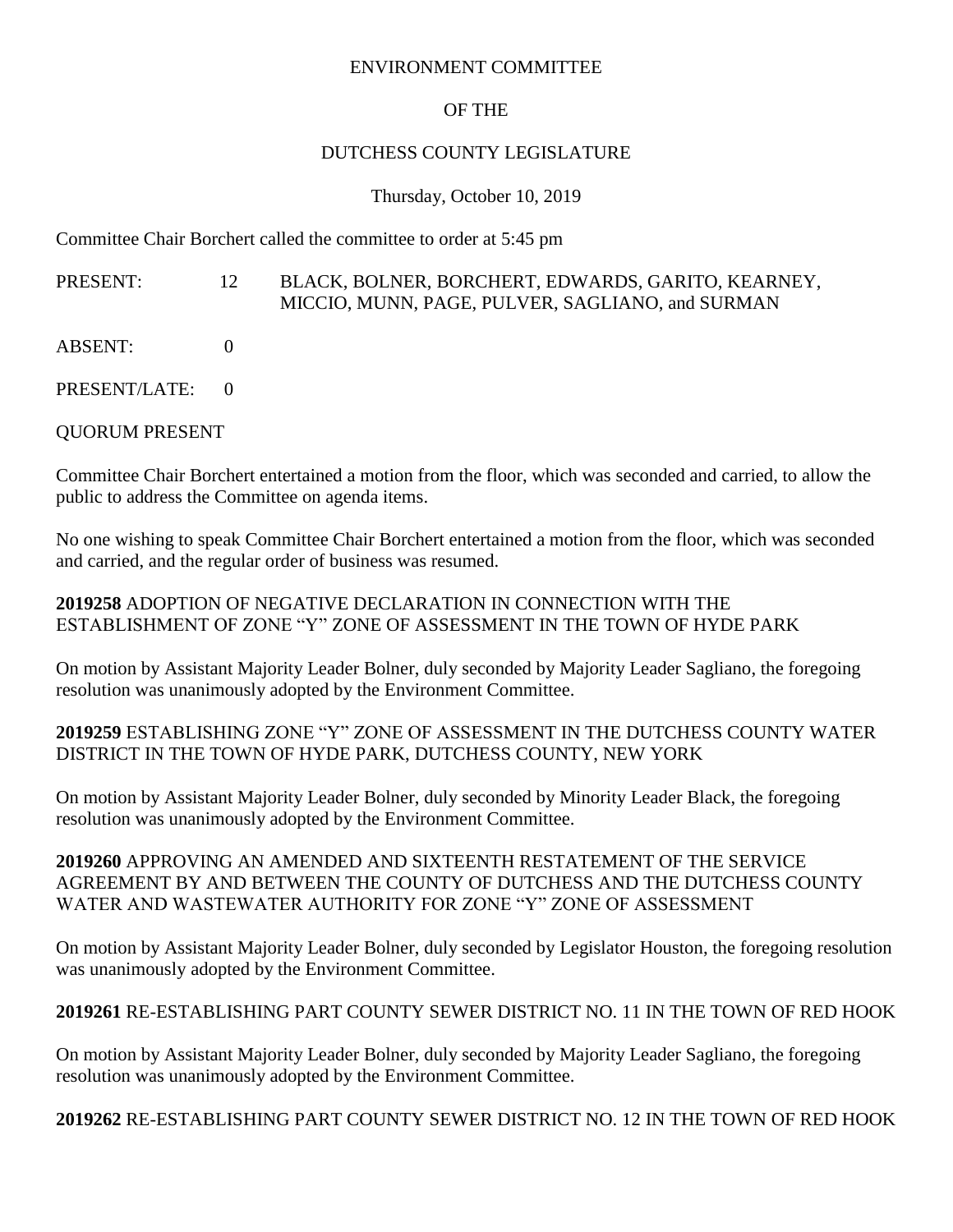#### ENVIRONMENT COMMITTEE

## OF THE

### DUTCHESS COUNTY LEGISLATURE

#### Thursday, October 10, 2019

Committee Chair Borchert called the committee to order at 5:45 pm

### PRESENT: 12 BLACK, BOLNER, BORCHERT, EDWARDS, GARITO, KEARNEY, MICCIO, MUNN, PAGE, PULVER, SAGLIANO, and SURMAN

- $ABSENT: 0$
- PRESENT/LATE: 0

# QUORUM PRESENT

Committee Chair Borchert entertained a motion from the floor, which was seconded and carried, to allow the public to address the Committee on agenda items.

No one wishing to speak Committee Chair Borchert entertained a motion from the floor, which was seconded and carried, and the regular order of business was resumed.

**2019258** ADOPTION OF NEGATIVE DECLARATION IN CONNECTION WITH THE ESTABLISHMENT OF ZONE "Y" ZONE OF ASSESSMENT IN THE TOWN OF HYDE PARK

On motion by Assistant Majority Leader Bolner, duly seconded by Majority Leader Sagliano, the foregoing resolution was unanimously adopted by the Environment Committee.

### **2019259** ESTABLISHING ZONE "Y" ZONE OF ASSESSMENT IN THE DUTCHESS COUNTY WATER DISTRICT IN THE TOWN OF HYDE PARK, DUTCHESS COUNTY, NEW YORK

On motion by Assistant Majority Leader Bolner, duly seconded by Minority Leader Black, the foregoing resolution was unanimously adopted by the Environment Committee.

### **2019260** APPROVING AN AMENDED AND SIXTEENTH RESTATEMENT OF THE SERVICE AGREEMENT BY AND BETWEEN THE COUNTY OF DUTCHESS AND THE DUTCHESS COUNTY WATER AND WASTEWATER AUTHORITY FOR ZONE "Y" ZONE OF ASSESSMENT

On motion by Assistant Majority Leader Bolner, duly seconded by Legislator Houston, the foregoing resolution was unanimously adopted by the Environment Committee.

# **2019261** RE-ESTABLISHING PART COUNTY SEWER DISTRICT NO. 11 IN THE TOWN OF RED HOOK

On motion by Assistant Majority Leader Bolner, duly seconded by Majority Leader Sagliano, the foregoing resolution was unanimously adopted by the Environment Committee.

**2019262** RE-ESTABLISHING PART COUNTY SEWER DISTRICT NO. 12 IN THE TOWN OF RED HOOK